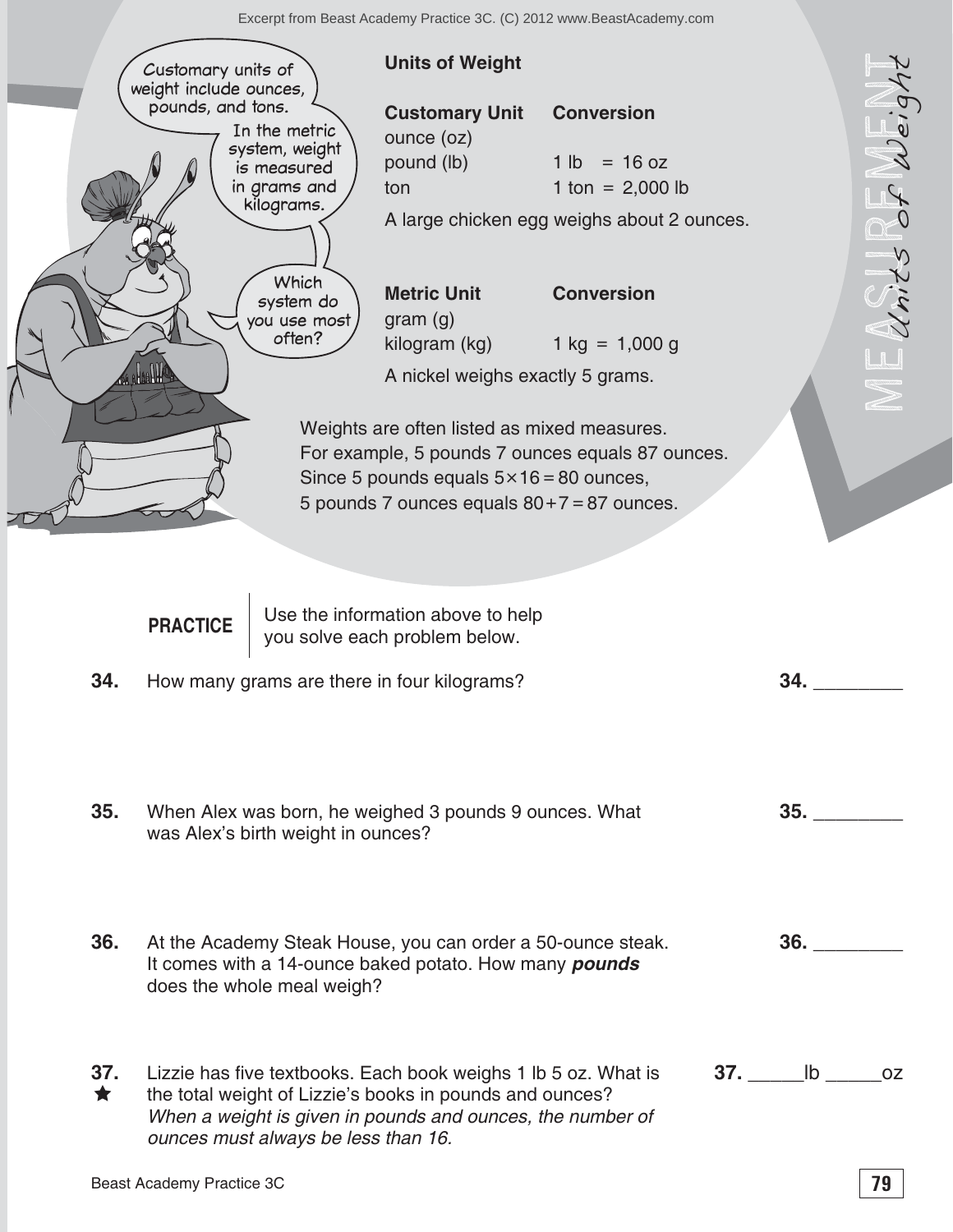

| 37. | Lizzie has five textbooks. Each book weighs 1 lb 5 oz. What is | 37. | <b>ID</b> | 0Z |
|-----|----------------------------------------------------------------|-----|-----------|----|
|     | the total weight of Lizzie's books in pounds and ounces?       |     |           |    |
|     | When a weight is given in pounds and ounces, the number of     |     |           |    |
|     | ounces must always be less than 16.                            |     |           |    |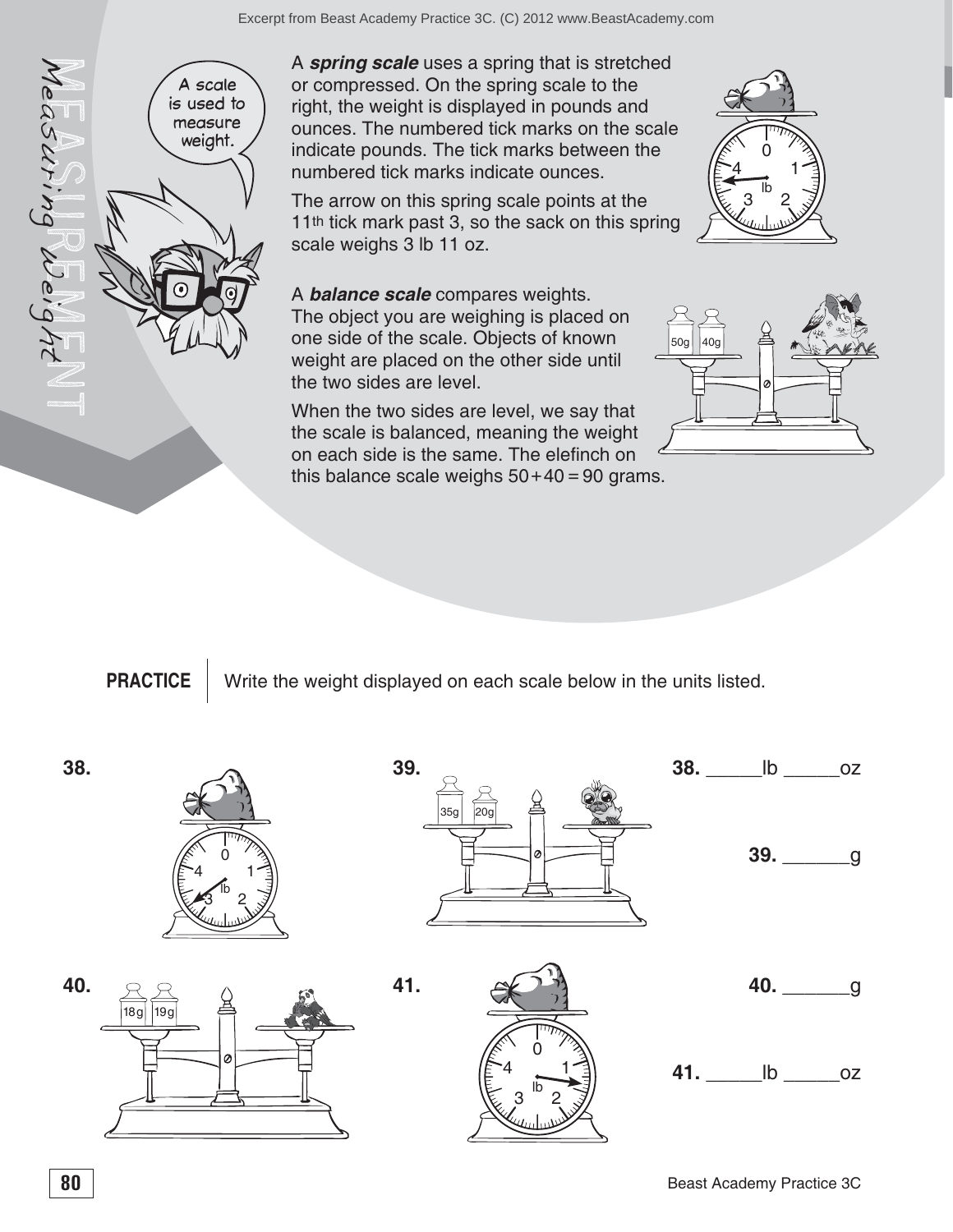A scale is used to measure weight. A *spring scale* uses a spring that is stretched or compressed. On the spring scale to the right, the weight is displayed in pounds and ounces. The numbered tick marks on the scale indicate pounds. The tick marks between the numbered tick marks indicate ounces. The arrow on this spring scale points at the 11<sup>th</sup> tick mark past 3, so the sack on this spring

the two sides are level.



scale weighs 3 lb 11 oz. A *balance scale* compares weights. The object you are weighing is placed on one side of the scale. Objects of known weight are placed on the other side until

When the two sides are level, we say that the scale is balanced, meaning the weight on each side is the same. The elefinch on this balance scale weighs  $50+40=90$  grams.



**PRACTICE** Write the weight displayed on each scale below in the units listed.



 $M$ easuring Weight NT

leasuring Weig









**41.**